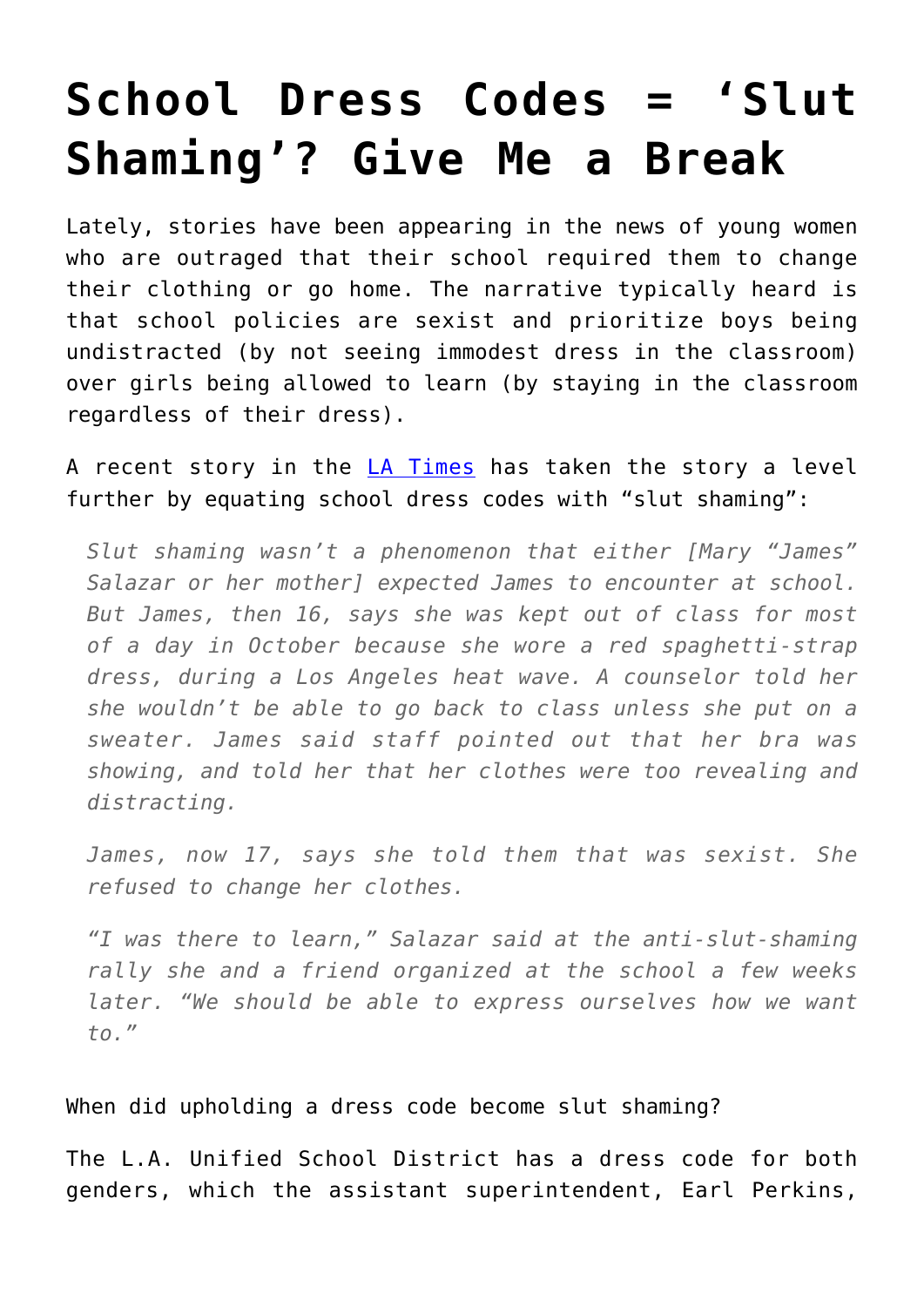## **[School Dress Codes = 'Slut](https://intellectualtakeout.org/2016/02/school-dress-codes-slut-shaming-give-me-a-break/) [Shaming'? Give Me a Break](https://intellectualtakeout.org/2016/02/school-dress-codes-slut-shaming-give-me-a-break/)**

Lately, stories have been appearing in the news of young women who are outraged that their school required them to change their clothing or go home. The narrative typically heard is that school policies are sexist and prioritize boys being undistracted (by not seeing immodest dress in the classroom) over girls being allowed to learn (by staying in the classroom regardless of their dress).

A recent story in the [LA Times](http://www.latimes.com/local/education/lausd/la-me-edu-slut-shaming-20160218-story.html) has taken the story a level further by equating school dress codes with "slut shaming":

*Slut shaming wasn't a phenomenon that either [Mary "James" Salazar or her mother] expected James to encounter at school. But James, then 16, says she was kept out of class for most of a day in October because she wore a red spaghetti-strap dress, during a Los Angeles heat wave. A counselor told her she wouldn't be able to go back to class unless she put on a sweater. James said staff pointed out that her bra was showing, and told her that her clothes were too revealing and distracting.*

*James, now 17, says she told them that was sexist. She refused to change her clothes.* 

*"I was there to learn," Salazar said at the anti-slut-shaming rally she and a friend organized at the school a few weeks later. "We should be able to express ourselves how we want to."*

When did upholding a dress code become slut shaming?

The L.A. Unified School District has a dress code for both genders, which the assistant superintendent, Earl Perkins,